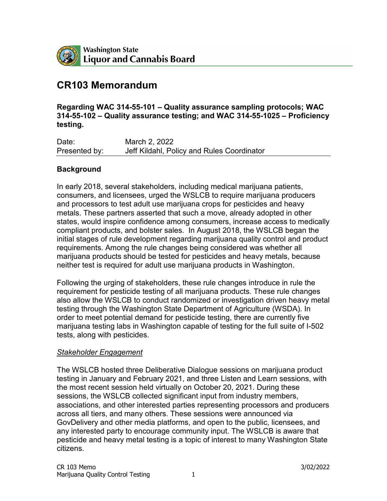

# **CR103 Memorandum**

**Regarding WAC 314-55-101 – Quality assurance sampling protocols; WAC 314-55-102 – Quality assurance testing; and WAC 314-55-1025 – Proficiency testing.**

Date: March 2, 2022 Presented by: Jeff Kildahl, Policy and Rules Coordinator

#### **Background**

In early 2018, several stakeholders, including medical marijuana patients, consumers, and licensees, urged the WSLCB to require marijuana producers and processors to test adult use marijuana crops for pesticides and heavy metals. These partners asserted that such a move, already adopted in other states, would inspire confidence among consumers, increase access to medically compliant products, and bolster sales. In August 2018, the WSLCB began the initial stages of rule development regarding marijuana quality control and product requirements. Among the rule changes being considered was whether all marijuana products should be tested for pesticides and heavy metals, because neither test is required for adult use marijuana products in Washington.

Following the urging of stakeholders, these rule changes introduce in rule the requirement for pesticide testing of all marijuana products. These rule changes also allow the WSLCB to conduct randomized or investigation driven heavy metal testing through the Washington State Department of Agriculture (WSDA). In order to meet potential demand for pesticide testing, there are currently five marijuana testing labs in Washington capable of testing for the full suite of I-502 tests, along with pesticides.

#### *Stakeholder Engagement*

The WSLCB hosted three Deliberative Dialogue sessions on marijuana product testing in January and February 2021, and three Listen and Learn sessions, with the most recent session held virtually on October 20, 2021. During these sessions, the WSLCB collected significant input from industry members, associations, and other interested parties representing processors and producers across all tiers, and many others. These sessions were announced via GovDelivery and other media platforms, and open to the public, licensees, and any interested party to encourage community input. The WSLCB is aware that pesticide and heavy metal testing is a topic of interest to many Washington State citizens.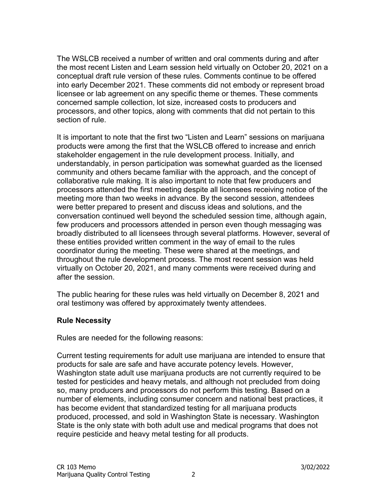The WSLCB received a number of written and oral comments during and after the most recent Listen and Learn session held virtually on October 20, 2021 on a conceptual draft rule version of these rules. Comments continue to be offered into early December 2021. These comments did not embody or represent broad licensee or lab agreement on any specific theme or themes. These comments concerned sample collection, lot size, increased costs to producers and processors, and other topics, along with comments that did not pertain to this section of rule.

It is important to note that the first two "Listen and Learn" sessions on marijuana products were among the first that the WSLCB offered to increase and enrich stakeholder engagement in the rule development process. Initially, and understandably, in person participation was somewhat guarded as the licensed community and others became familiar with the approach, and the concept of collaborative rule making. It is also important to note that few producers and processors attended the first meeting despite all licensees receiving notice of the meeting more than two weeks in advance. By the second session, attendees were better prepared to present and discuss ideas and solutions, and the conversation continued well beyond the scheduled session time, although again, few producers and processors attended in person even though messaging was broadly distributed to all licensees through several platforms. However, several of these entities provided written comment in the way of email to the rules coordinator during the meeting. These were shared at the meetings, and throughout the rule development process. The most recent session was held virtually on October 20, 2021, and many comments were received during and after the session.

The public hearing for these rules was held virtually on December 8, 2021 and oral testimony was offered by approximately twenty attendees.

# **Rule Necessity**

Rules are needed for the following reasons:

Current testing requirements for adult use marijuana are intended to ensure that products for sale are safe and have accurate potency levels. However, Washington state adult use marijuana products are not currently required to be tested for pesticides and heavy metals, and although not precluded from doing so, many producers and processors do not perform this testing. Based on a number of elements, including consumer concern and national best practices, it has become evident that standardized testing for all marijuana products produced, processed, and sold in Washington State is necessary. Washington State is the only state with both adult use and medical programs that does not require pesticide and heavy metal testing for all products.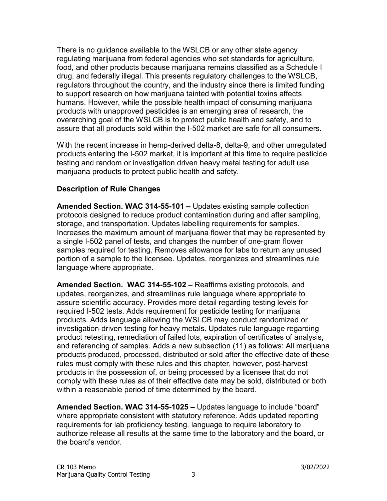There is no guidance available to the WSLCB or any other state agency regulating marijuana from federal agencies who set standards for agriculture, food, and other products because marijuana remains classified as a Schedule I drug, and federally illegal. This presents regulatory challenges to the WSLCB, regulators throughout the country, and the industry since there is limited funding to support research on how marijuana tainted with potential toxins affects humans. However, while the possible health impact of consuming marijuana products with unapproved pesticides is an emerging area of research, the overarching goal of the WSLCB is to protect public health and safety, and to assure that all products sold within the I-502 market are safe for all consumers.

With the recent increase in hemp-derived delta-8, delta-9, and other unregulated products entering the I-502 market, it is important at this time to require pesticide testing and random or investigation driven heavy metal testing for adult use marijuana products to protect public health and safety.

# **Description of Rule Changes**

**Amended Section. WAC 314-55-101 –** Updates existing sample collection protocols designed to reduce product contamination during and after sampling, storage, and transportation. Updates labelling requirements for samples. Increases the maximum amount of marijuana flower that may be represented by a single I-502 panel of tests, and changes the number of one-gram flower samples required for testing. Removes allowance for labs to return any unused portion of a sample to the licensee. Updates, reorganizes and streamlines rule language where appropriate.

**Amended Section. WAC 314-55-102 –** Reaffirms existing protocols, and updates, reorganizes, and streamlines rule language where appropriate to assure scientific accuracy. Provides more detail regarding testing levels for required I-502 tests. Adds requirement for pesticide testing for marijuana products. Adds language allowing the WSLCB may conduct randomized or investigation-driven testing for heavy metals. Updates rule language regarding product retesting, remediation of failed lots, expiration of certificates of analysis, and referencing of samples. Adds a new subsection (11) as follows: All marijuana products produced, processed, distributed or sold after the effective date of these rules must comply with these rules and this chapter, however, post-harvest products in the possession of, or being processed by a licensee that do not comply with these rules as of their effective date may be sold, distributed or both within a reasonable period of time determined by the board.

**Amended Section. WAC 314-55-1025 –** Updates language to include "board" where appropriate consistent with statutory reference. Adds updated reporting requirements for lab proficiency testing. language to require laboratory to authorize release all results at the same time to the laboratory and the board, or the board's vendor.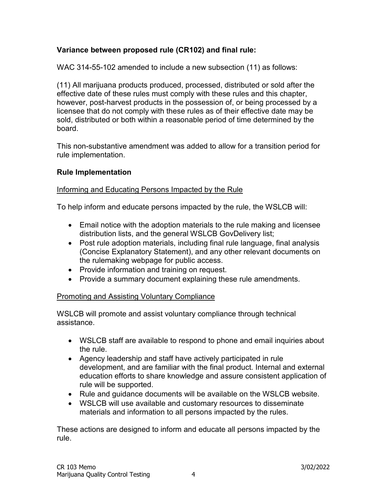# **Variance between proposed rule (CR102) and final rule:**

WAC 314-55-102 amended to include a new subsection (11) as follows:

(11) All marijuana products produced, processed, distributed or sold after the effective date of these rules must comply with these rules and this chapter, however, post-harvest products in the possession of, or being processed by a licensee that do not comply with these rules as of their effective date may be sold, distributed or both within a reasonable period of time determined by the board.

This non-substantive amendment was added to allow for a transition period for rule implementation.

#### **Rule Implementation**

#### Informing and Educating Persons Impacted by the Rule

To help inform and educate persons impacted by the rule, the WSLCB will:

- Email notice with the adoption materials to the rule making and licensee distribution lists, and the general WSLCB GovDelivery list;
- Post rule adoption materials, including final rule language, final analysis (Concise Explanatory Statement), and any other relevant documents on the rulemaking webpage for public access.
- Provide information and training on request.
- Provide a summary document explaining these rule amendments.

#### Promoting and Assisting Voluntary Compliance

WSLCB will promote and assist voluntary compliance through technical assistance.

- WSLCB staff are available to respond to phone and email inquiries about the rule.
- Agency leadership and staff have actively participated in rule development, and are familiar with the final product. Internal and external education efforts to share knowledge and assure consistent application of rule will be supported.
- Rule and guidance documents will be available on the WSLCB website.
- WSLCB will use available and customary resources to disseminate materials and information to all persons impacted by the rules.

These actions are designed to inform and educate all persons impacted by the rule.